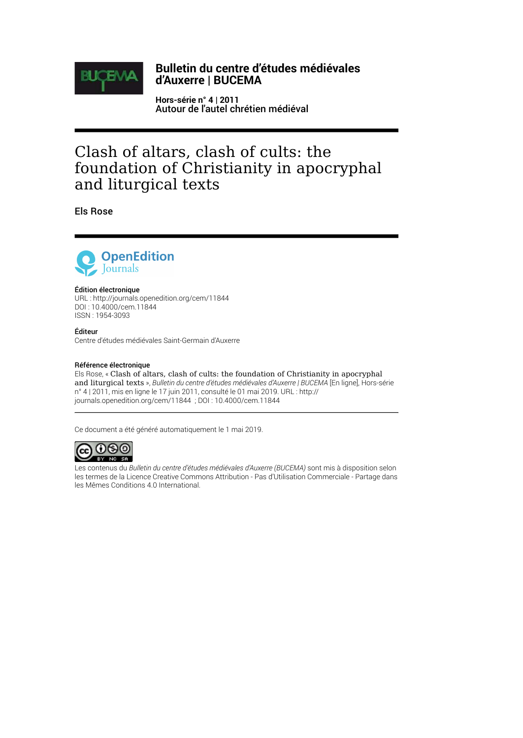

### **Bulletin du centre d'études médiévales d'Auxerre | BUCEMA**

**Hors-série n° 4 | 2011** Autour de l'autel chrétien médiéval

# Clash of altars, clash of cults: the foundation of Christianity in apocryphal and liturgical texts

Els Rose



#### Édition électronique

URL :<http://journals.openedition.org/cem/11844> DOI : 10.4000/cem.11844 ISSN : 1954-3093

Éditeur Centre d'études médiévales Saint-Germain d'Auxerre

#### Référence électronique

Els Rose, « Clash of altars, clash of cults: the foundation of Christianity in apocryphal and liturgical texts », *Bulletin du centre d'études médiévales d'Auxerre | BUCEMA* [En ligne], Hors-série n° 4 | 2011, mis en ligne le 17 juin 2011, consulté le 01 mai 2019. URL : http:// journals.openedition.org/cem/11844 ; DOI : 10.4000/cem.11844

Ce document a été généré automatiquement le 1 mai 2019.



Les contenus du *Bulletin du centre d'études médiévales d'Auxerre (BUCEMA)* sont mis à disposition selon les termes de la [Licence Creative Commons Attribution - Pas d'Utilisation Commerciale - Partage dans](http://creativecommons.org/licenses/by-nc-sa/4.0/) [les Mêmes Conditions 4.0 International.](http://creativecommons.org/licenses/by-nc-sa/4.0/)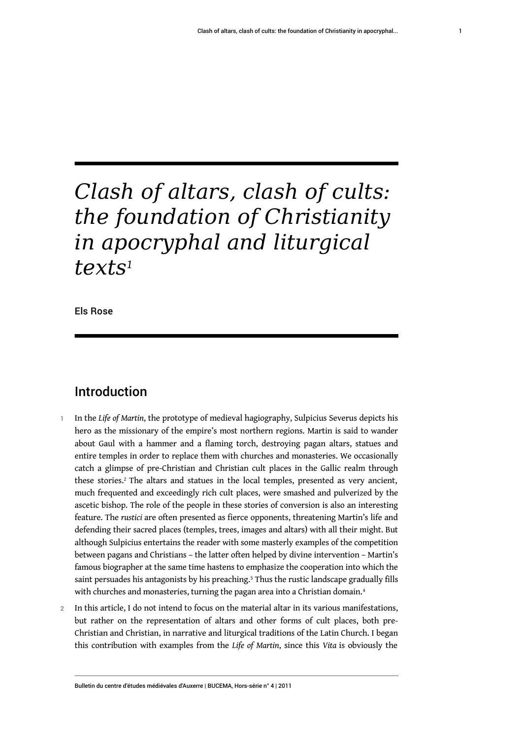# *Clash of altars, clash of cults: the foundation of Christianity in apocryphal and liturgical texts[1](#page-10-0)*

<span id="page-1-0"></span>Els Rose

## Introduction

- <span id="page-1-1"></span><sup>1</sup>In the *Life of Martin*, the prototype of medieval hagiography, Sulpicius Severus depicts his hero as the missionary of the empire's most northern regions. Martin is said to wander about Gaul with a hammer and a flaming torch, destroying pagan altars, statues and entire temples in order to replace them with churches and monasteries. We occasionally catch a glimpse of pre-Christian and Christian cult places in the Gallic realm through these stories.[2](#page-10-1) The altars and statues in the local temples, presented as very ancient, much frequented and exceedingly rich cult places, were smashed and pulverized by the ascetic bishop. The role of the people in these stories of conversion is also an interesting feature. The *rustici* are often presented as fierce opponents, threatening Martin's life and defending their sacred places (temples, trees, images and altars) with all their might. But although Sulpicius entertains the reader with some masterly examples of the competition between pagans and Christians – the latter often helped by divine intervention – Martin's famous biographer at the same time hastens to emphasize the cooperation into which the saint persuades his antagonists by his preaching. $3$  Thus the rustic landscape gradually fills with churches and monasteries, turning the pagan area into a Christian domain.<sup>[4](#page-10-3)</sup>
- <span id="page-1-3"></span><span id="page-1-2"></span>2 In this article, I do not intend to focus on the material altar in its various manifestations, but rather on the representation of altars and other forms of cult places, both pre-Christian and Christian, in narrative and liturgical traditions of the Latin Church. I began this contribution with examples from the *Life of Martin*, since this *Vita* is obviously the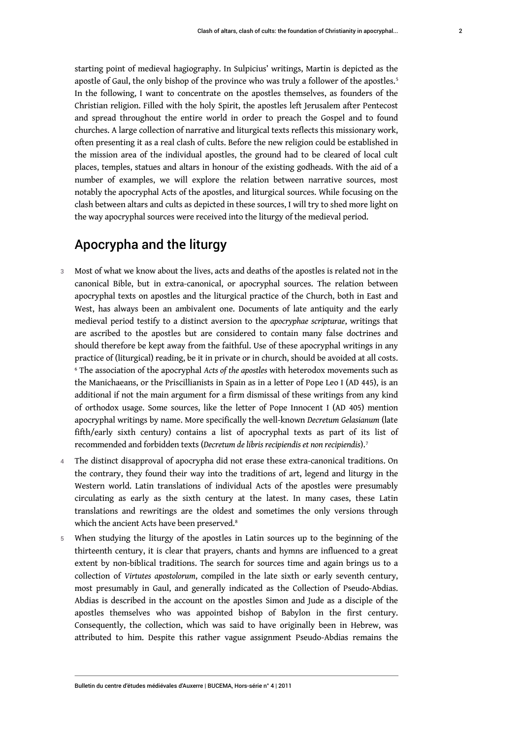<span id="page-2-0"></span>apostle of Gaul, the only bishop of the province who was truly a follower of the apostles.<sup>[5](#page-10-4)</sup> In the following, I want to concentrate on the apostles themselves, as founders of the Christian religion. Filled with the holy Spirit, the apostles left Jerusalem after Pentecost and spread throughout the entire world in order to preach the Gospel and to found churches. A large collection of narrative and liturgical texts reflects this missionary work, often presenting it as a real clash of cults. Before the new religion could be established in the mission area of the individual apostles, the ground had to be cleared of local cult places, temples, statues and altars in honour of the existing godheads. With the aid of a number of examples, we will explore the relation between narrative sources, most notably the apocryphal Acts of the apostles, and liturgical sources. While focusing on the clash between altars and cults as depicted in these sources, I will try to shed more light on the way apocryphal sources were received into the liturgy of the medieval period.

# Apocrypha and the liturgy

- 3 Most of what we know about the lives, acts and deaths of the apostles is related not in the canonical Bible, but in extra-canonical, or apocryphal sources. The relation between apocryphal texts on apostles and the liturgical practice of the Church, both in East and West, has always been an ambivalent one. Documents of late antiquity and the early medieval period testify to a distinct aversion to the *apocryphae scripturae*, writings that are ascribed to the apostles but are considered to contain many false doctrines and should therefore be kept away from the faithful. Use of these apocryphal writings in any practice of (liturgical) reading, be it in private or in church, should be avoided at all costs. [6](#page-10-5) The association of the apocryphal *Acts of the apostles* with heterodox movements such as the Manichaeans, or the Priscillianists in Spain as in a letter of Pope Leo I (AD 445), is an additional if not the main argument for a firm dismissal of these writings from any kind of orthodox usage. Some sources, like the letter of Pope Innocent I (AD 405) mention apocryphal writings by name. More specifically the well-known *Decretum Gelasianum* (late fifth/early sixth century) contains a list of apocryphal texts as part of its list of recommended and forbidden texts (*Decretum de libris recipiendis et non recipiendis*).[7](#page-10-6)
- <span id="page-2-2"></span><span id="page-2-1"></span>4 The distinct disapproval of apocrypha did not erase these extra-canonical traditions. On the contrary, they found their way into the traditions of art, legend and liturgy in the Western world. Latin translations of individual Acts of the apostles were presumably circulating as early as the sixth century at the latest. In many cases, these Latin translations and rewritings are the oldest and sometimes the only versions through which the ancient Acts have been preserved.<sup>[8](#page-10-7)</sup>
- <span id="page-2-3"></span>5 When studying the liturgy of the apostles in Latin sources up to the beginning of the thirteenth century, it is clear that prayers, chants and hymns are influenced to a great extent by non-biblical traditions. The search for sources time and again brings us to a collection of *Virtutes apostolorum*, compiled in the late sixth or early seventh century, most presumably in Gaul, and generally indicated as the Collection of Pseudo-Abdias. Abdias is described in the account on the apostles Simon and Jude as a disciple of the apostles themselves who was appointed bishop of Babylon in the first century. Consequently, the collection, which was said to have originally been in Hebrew, was attributed to him. Despite this rather vague assignment Pseudo-Abdias remains the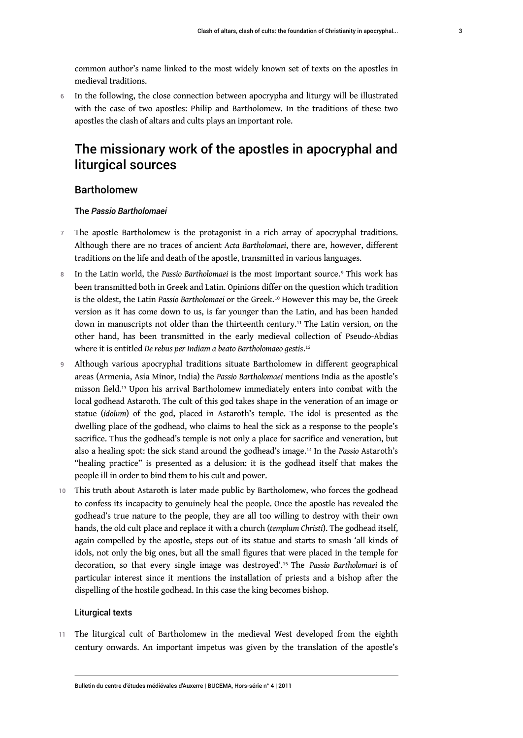common author's name linked to the most widely known set of texts on the apostles in medieval traditions.

6 In the following, the close connection between apocrypha and liturgy will be illustrated with the case of two apostles: Philip and Bartholomew. In the traditions of these two apostles the clash of altars and cults plays an important role.

# The missionary work of the apostles in apocryphal and liturgical sources

#### Bartholomew

#### <span id="page-3-0"></span>The *Passio Bartholomaei*

- 7 The apostle Bartholomew is the protagonist in a rich array of apocryphal traditions. Although there are no traces of ancient *Acta Bartholomaei*, there are, however, different traditions on the life and death of the apostle, transmitted in various languages.
- <span id="page-3-1"></span>8 In the Latin world, the Passio Bartholomaei is the most important source.<sup>[9](#page-10-8)</sup> This work has been transmitted both in Greek and Latin. Opinions differ on the question which tradition is the oldest, the Latin *Passio Bartholomaei* or the Greek.[10](#page-10-9) However this may be, the Greek version as it has come down to us, is far younger than the Latin, and has been handed down in manuscripts not older than the thirteenth century.<sup>[11](#page-11-0)</sup> The Latin version, on the other hand, has been transmitted in the early medieval collection of Pseudo-Abdias where it is entitled *De rebus per Indiam a beato Bartholomaeo gestis*. [12](#page-11-1)
- <span id="page-3-4"></span><span id="page-3-3"></span><span id="page-3-2"></span>9 Although various apocryphal traditions situate Bartholomew in different geographical areas (Armenia, Asia Minor, India) the *Passio Bartholomaei* mentions India as the apostle's misson field.[13](#page-11-2) Upon his arrival Bartholomew immediately enters into combat with the local godhead Astaroth. The cult of this god takes shape in the veneration of an image or statue (*idolum*) of the god, placed in Astaroth's temple. The idol is presented as the dwelling place of the godhead, who claims to heal the sick as a response to the people's sacrifice. Thus the godhead's temple is not only a place for sacrifice and veneration, but also a healing spot: the sick stand around the godhead's image.[14](#page-11-3) In the *Passio* Astaroth's "healing practice" is presented as a delusion: it is the godhead itself that makes the people ill in order to bind them to his cult and power.
- <span id="page-3-5"></span>10 This truth about Astaroth is later made public by Bartholomew, who forces the godhead to confess its incapacity to genuinely heal the people. Once the apostle has revealed the godhead's true nature to the people, they are all too willing to destroy with their own hands, the old cult place and replace it with a church (*templum Christi*). The godhead itself, again compelled by the apostle, steps out of its statue and starts to smash 'all kinds of idols, not only the big ones, but all the small figures that were placed in the temple for decoration, so that every single image was destroyed'.[15](#page-11-4) The *Passio Bartholomaei* is of particular interest since it mentions the installation of priests and a bishop after the dispelling of the hostile godhead. In this case the king becomes bishop.

#### <span id="page-3-6"></span>Liturgical texts

11 The liturgical cult of Bartholomew in the medieval West developed from the eighth century onwards. An important impetus was given by the translation of the apostle's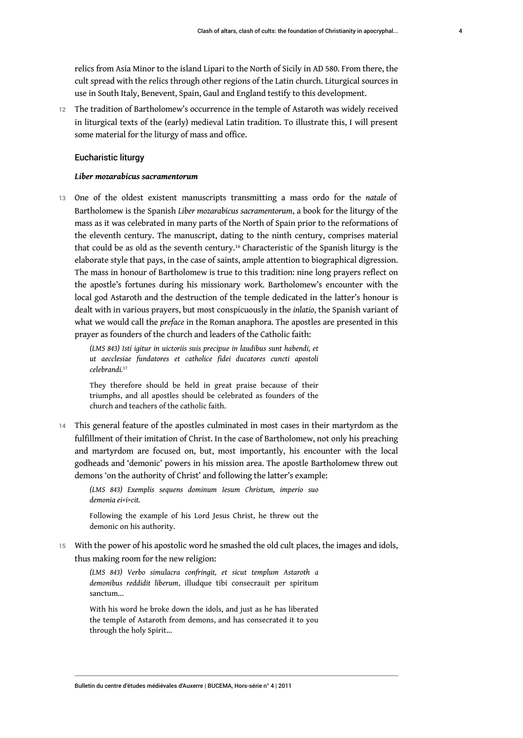relics from Asia Minor to the island Lipari to the North of Sicily in AD 580. From there, the cult spread with the relics through other regions of the Latin church. Liturgical sources in use in South Italy, Benevent, Spain, Gaul and England testify to this development.

12 The tradition of Bartholomew's occurrence in the temple of Astaroth was widely received in liturgical texts of the (early) medieval Latin tradition. To illustrate this, I will present some material for the liturgy of mass and office.

#### Eucharistic liturgy

#### <span id="page-4-0"></span>*Liber mozarabicus sacramentorum*

<sup>13</sup>One of the oldest existent manuscripts transmitting a mass ordo for the *natale* of Bartholomew is the Spanish *Liber mozarabicus sacramentorum*, a book for the liturgy of the mass as it was celebrated in many parts of the North of Spain prior to the reformations of the eleventh century. The manuscript, dating to the ninth century, comprises material that could be as old as the seventh century.[16](#page-11-5) Characteristic of the Spanish liturgy is the elaborate style that pays, in the case of saints, ample attention to biographical digression. The mass in honour of Bartholomew is true to this tradition: nine long prayers reflect on the apostle's fortunes during his missionary work. Bartholomew's encounter with the local god Astaroth and the destruction of the temple dedicated in the latter's honour is dealt with in various prayers, but most conspicuously in the *inlatio*, the Spanish variant of what we would call the *preface* in the Roman anaphora. The apostles are presented in this prayer as founders of the church and leaders of the Catholic faith:

*(LMS 843) Isti igitur in uictoriis suis precipue in laudibus sunt habendi, et ut aecclesiae fundatores et catholice fidei ducatores cuncti apostoli celebrandi.*[17](#page-11-6)

<span id="page-4-1"></span>They therefore should be held in great praise because of their triumphs, and all apostles should be celebrated as founders of the church and teachers of the catholic faith.

14 This general feature of the apostles culminated in most cases in their martyrdom as the fulfillment of their imitation of Christ. In the case of Bartholomew, not only his preaching and martyrdom are focused on, but, most importantly, his encounter with the local godheads and 'demonic' powers in his mission area. The apostle Bartholomew threw out demons 'on the authority of Christ' and following the latter's example:

*(LMS 843) Exemplis sequens dominum Iesum Christum, imperio suo demonia ei<i>cit.*

Following the example of his Lord Jesus Christ, he threw out the demonic on his authority.

15 With the power of his apostolic word he smashed the old cult places, the images and idols, thus making room for the new religion:

*(LMS 843) Verbo simulacra confringit, et sicut templum Astaroth a demonibus reddidit liberum*, illudque tibi consecrauit per spiritum sanctum...

With his word he broke down the idols, and just as he has liberated the temple of Astaroth from demons, and has consecrated it to you through the holy Spirit...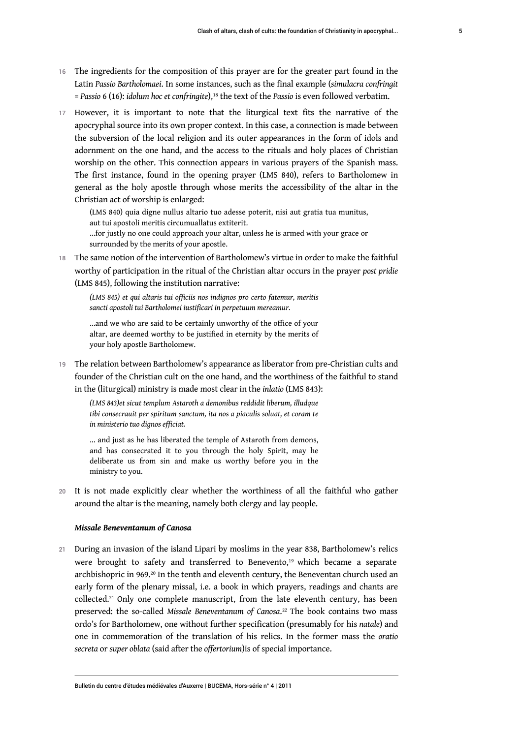- 16 The ingredients for the composition of this prayer are for the greater part found in the Latin *Passio Bartholomaei*. In some instances, such as the final example (*simulacra confringit* = *Passio* 6 (16): *idolum hoc et confringite*),[18](#page-11-7) the text of the *Passio* is even followed verbatim.
- <span id="page-5-0"></span>17 However, it is important to note that the liturgical text fits the narrative of the apocryphal source into its own proper context. In this case, a connection is made between the subversion of the local religion and its outer appearances in the form of idols and adornment on the one hand, and the access to the rituals and holy places of Christian worship on the other. This connection appears in various prayers of the Spanish mass. The first instance, found in the opening prayer (LMS 840), refers to Bartholomew in general as the holy apostle through whose merits the accessibility of the altar in the Christian act of worship is enlarged:

(LMS 840) quia digne nullus altario tuo adesse poterit, nisi aut gratia tua munitus, aut tui apostoli meritis circumuallatus extiterit.

...for justly no one could approach your altar, unless he is armed with your grace or surrounded by the merits of your apostle.

18 The same notion of the intervention of Bartholomew's virtue in order to make the faithful worthy of participation in the ritual of the Christian altar occurs in the prayer *post pridie* (LMS 845), following the institution narrative:

*(LMS 845) et qui altaris tui officiis nos indignos pro certo fatemur, meritis sancti apostoli tui Bartholomei iustificari in perpetuum mereamur.*

...and we who are said to be certainly unworthy of the office of your altar, are deemed worthy to be justified in eternity by the merits of your holy apostle Bartholomew.

19 The relation between Bartholomew's appearance as liberator from pre-Christian cults and founder of the Christian cult on the one hand, and the worthiness of the faithful to stand in the (liturgical) ministry is made most clear in the *inlatio* (LMS 843):

*(LMS 843)et sicut templum Astaroth a demonibus reddidit liberum, illudque tibi consecrauit per spiritum sanctum, ita nos a piaculis soluat, et coram te in ministerio tuo dignos efficiat.*

... and just as he has liberated the temple of Astaroth from demons, and has consecrated it to you through the holy Spirit, may he deliberate us from sin and make us worthy before you in the ministry to you.

20 It is not made explicitly clear whether the worthiness of all the faithful who gather around the altar is the meaning, namely both clergy and lay people.

#### <span id="page-5-4"></span><span id="page-5-2"></span><span id="page-5-1"></span>*Missale Beneventanum of Canosa*

<span id="page-5-3"></span>21 During an invasion of the island Lipari by moslims in the year 838, Bartholomew's relics were brought to safety and transferred to Benevento, [19](#page-11-8) which became a separate archbishopric in 969.[20](#page-11-9) In the tenth and eleventh century, the Beneventan church used an early form of the plenary missal, i.e. a book in which prayers, readings and chants are collected.[21](#page-11-10) Only one complete manuscript, from the late eleventh century, has been preserved: the so-called *Missale Beneventanum of Canosa*. [22](#page-11-11) The book contains two mass ordo's for Bartholomew, one without further specification (presumably for his *natale*) and one in commemoration of the translation of his relics. In the former mass the *oratio secreta* or *super oblata* (said after the *offertorium*)is of special importance.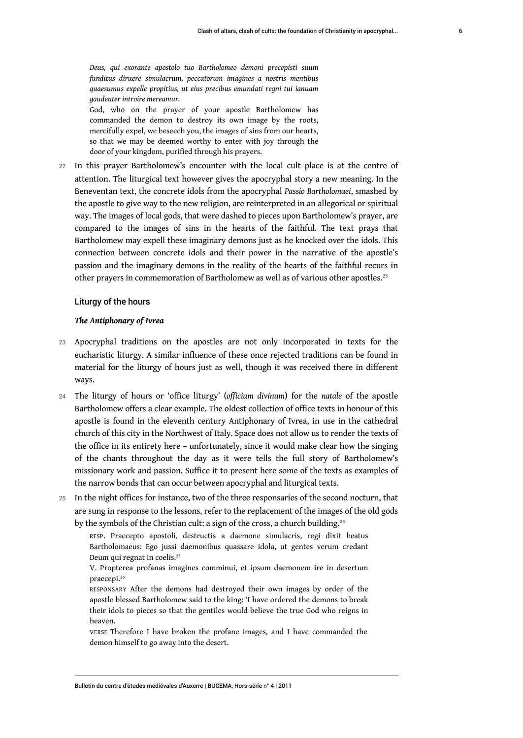God, who on the prayer of your apostle Bartholomew has commanded the demon to destroy its own image by the roots, mercifully expel, we beseech you, the images of sins from our hearts, so that we may be deemed worthy to enter with joy through the door of your kingdom, purified through his prayers.

22 In this prayer Bartholomew's encounter with the local cult place is at the centre of attention. The liturgical text however gives the apocryphal story a new meaning. In the Beneventan text, the concrete idols from the apocryphal *Passio Bartholomaei*, smashed by the apostle to give way to the new religion, are reinterpreted in an allegorical or spiritual way. The images of local gods, that were dashed to pieces upon Bartholomew's prayer, are compared to the images of sins in the hearts of the faithful. The text prays that Bartholomew may expell these imaginary demons just as he knocked over the idols. This connection between concrete idols and their power in the narrative of the apostle's passion and the imaginary demons in the reality of the hearts of the faithful recurs in other prayers in commemoration of Bartholomew as well as of various other apostles.<sup>[23](#page-11-12)</sup>

#### <span id="page-6-0"></span>Liturgy of the hours

#### *The Antiphonary of Ivrea*

*gaudenter introire mereamur.*

- 23 Apocryphal traditions on the apostles are not only incorporated in texts for the eucharistic liturgy. A similar influence of these once rejected traditions can be found in material for the liturgy of hours just as well, though it was received there in different ways.
- <sup>24</sup>The liturgy of hours or 'office liturgy' (*officium divinum*) for the *natale* of the apostle Bartholomew offers a clear example. The oldest collection of office texts in honour of this apostle is found in the eleventh century Antiphonary of Ivrea, in use in the cathedral church of this city in the Northwest of Italy. Space does not allow us to render the texts of the office in its entirety here – unfortunately, since it would make clear how the singing of the chants throughout the day as it were tells the full story of Bartholomew's missionary work and passion. Suffice it to present here some of the texts as examples of the narrow bonds that can occur between apocryphal and liturgical texts.
- 25 In the night offices for instance, two of the three responsaries of the second nocturn, that are sung in response to the lessons, refer to the replacement of the images of the old gods by the symbols of the Christian cult: a sign of the cross, a church building.<sup>[24](#page-11-13)</sup>

<span id="page-6-1"></span>RESP. Praecepto apostoli, destructis a daemone simulacris, regi dixit beatus Bartholomaeus: Ego jussi daemonibus quassare idola, ut gentes verum credant Deum qui regnat in coelis.[25](#page-11-14)

<span id="page-6-3"></span><span id="page-6-2"></span>V. Propterea profanas imagines comminui, et ipsum daemonem ire in desertum praecepi.[26](#page-11-15)

RESPONSARY After the demons had destroyed their own images by order of the apostle blessed Bartholomew said to the king: 'I have ordered the demons to break their idols to pieces so that the gentiles would believe the true God who reigns in heaven.

VERSE Therefore I have broken the profane images, and I have commanded the demon himself to go away into the desert.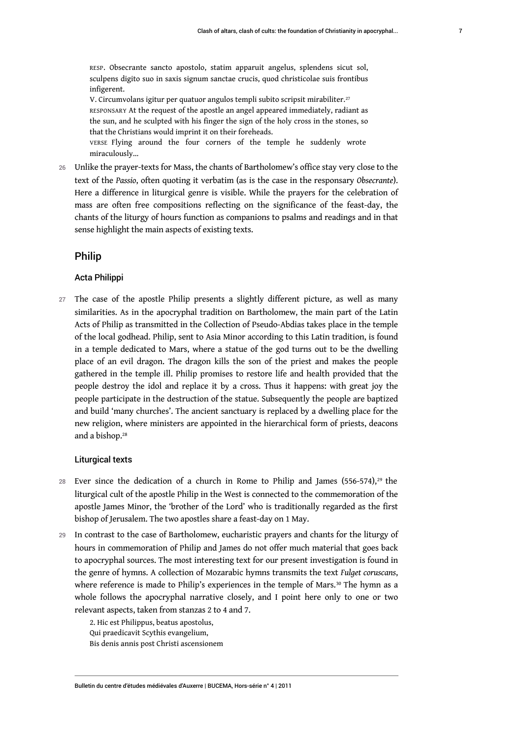RESP. Obsecrante sancto apostolo, statim apparuit angelus, splendens sicut sol, sculpens digito suo in saxis signum sanctae crucis, quod christicolae suis frontibus infigerent.

<span id="page-7-0"></span>V. Circumvolans igitur per quatuor angulos templi subito scripsit mirabiliter.<sup>[27](#page-11-16)</sup> RESPONSARY At the request of the apostle an angel appeared immediately, radiant as the sun, and he sculpted with his finger the sign of the holy cross in the stones, so that the Christians would imprint it on their foreheads.

VERSE Flying around the four corners of the temple he suddenly wrote miraculously…

26 Unlike the prayer-texts for Mass, the chants of Bartholomew's office stay very close to the text of the *Passio*, often quoting it verbatim (as is the case in the responsary *Obsecrante*). Here a difference in liturgical genre is visible. While the prayers for the celebration of mass are often free compositions reflecting on the significance of the feast-day, the chants of the liturgy of hours function as companions to psalms and readings and in that sense highlight the main aspects of existing texts.

#### Philip

#### Acta Philippi

27 The case of the apostle Philip presents a slightly different picture, as well as many similarities. As in the apocryphal tradition on Bartholomew, the main part of the Latin Acts of Philip as transmitted in the Collection of Pseudo-Abdias takes place in the temple of the local godhead. Philip, sent to Asia Minor according to this Latin tradition, is found in a temple dedicated to Mars, where a statue of the god turns out to be the dwelling place of an evil dragon. The dragon kills the son of the priest and makes the people gathered in the temple ill. Philip promises to restore life and health provided that the people destroy the idol and replace it by a cross. Thus it happens: with great joy the people participate in the destruction of the statue. Subsequently the people are baptized and build 'many churches'. The ancient sanctuary is replaced by a dwelling place for the new religion, where ministers are appointed in the hierarchical form of priests, deacons and a bishop.<sup>[28](#page-11-17)</sup>

#### <span id="page-7-2"></span><span id="page-7-1"></span>Liturgical texts

- 28 Ever since the dedication of a church in Rome to Philip and James  $(556-574),^{29}$  $(556-574),^{29}$  $(556-574),^{29}$  the liturgical cult of the apostle Philip in the West is connected to the commemoration of the apostle James Minor, the 'brother of the Lord' who is traditionally regarded as the first bishop of Jerusalem. The two apostles share a feast-day on 1 May.
- 29 In contrast to the case of Bartholomew, eucharistic prayers and chants for the liturgy of hours in commemoration of Philip and James do not offer much material that goes back to apocryphal sources. The most interesting text for our present investigation is found in the genre of hymns. A collection of Mozarabic hymns transmits the text *Fulget coruscans*, where reference is made to Philip's experiences in the temple of Mars.<sup>[30](#page-12-1)</sup> The hymn as a whole follows the apocryphal narrative closely, and I point here only to one or two relevant aspects, taken from stanzas 2 to 4 and 7.

<span id="page-7-3"></span>2. Hic est Philippus, beatus apostolus, Qui praedicavit Scythis evangelium, Bis denis annis post Christi ascensionem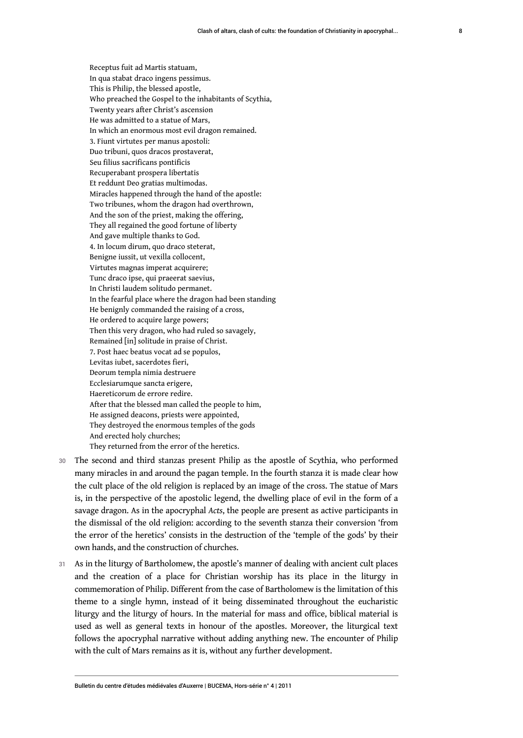Receptus fuit ad Martis statuam, In qua stabat draco ingens pessimus. This is Philip, the blessed apostle, Who preached the Gospel to the inhabitants of Scythia, Twenty years after Christ's ascension He was admitted to a statue of Mars, In which an enormous most evil dragon remained. 3. Fiunt virtutes per manus apostoli: Duo tribuni, quos dracos prostaverat, Seu filius sacrificans pontificis Recuperabant prospera libertatis Et reddunt Deo gratias multimodas. Miracles happened through the hand of the apostle: Two tribunes, whom the dragon had overthrown, And the son of the priest, making the offering, They all regained the good fortune of liberty And gave multiple thanks to God. 4. In locum dirum, quo draco steterat, Benigne iussit, ut vexilla collocent, Virtutes magnas imperat acquirere; Tunc draco ipse, qui praeerat saevius, In Christi laudem solitudo permanet. In the fearful place where the dragon had been standing He benignly commanded the raising of a cross, He ordered to acquire large powers; Then this very dragon, who had ruled so savagely, Remained [in] solitude in praise of Christ. 7. Post haec beatus vocat ad se populos, Levitas iubet, sacerdotes fieri, Deorum templa nimia destruere Ecclesiarumque sancta erigere, Haereticorum de errore redire. After that the blessed man called the people to him, He assigned deacons, priests were appointed, They destroyed the enormous temples of the gods And erected holy churches; They returned from the error of the heretics.

- 30 The second and third stanzas present Philip as the apostle of Scythia, who performed many miracles in and around the pagan temple. In the fourth stanza it is made clear how the cult place of the old religion is replaced by an image of the cross. The statue of Mars is, in the perspective of the apostolic legend, the dwelling place of evil in the form of a savage dragon. As in the apocryphal *Acts*, the people are present as active participants in the dismissal of the old religion: according to the seventh stanza their conversion 'from the error of the heretics' consists in the destruction of the 'temple of the gods' by their own hands, and the construction of churches.
- 31 As in the liturgy of Bartholomew, the apostle's manner of dealing with ancient cult places and the creation of a place for Christian worship has its place in the liturgy in commemoration of Philip. Different from the case of Bartholomew is the limitation of this theme to a single hymn, instead of it being disseminated throughout the eucharistic liturgy and the liturgy of hours. In the material for mass and office, biblical material is used as well as general texts in honour of the apostles. Moreover, the liturgical text follows the apocryphal narrative without adding anything new. The encounter of Philip with the cult of Mars remains as it is, without any further development.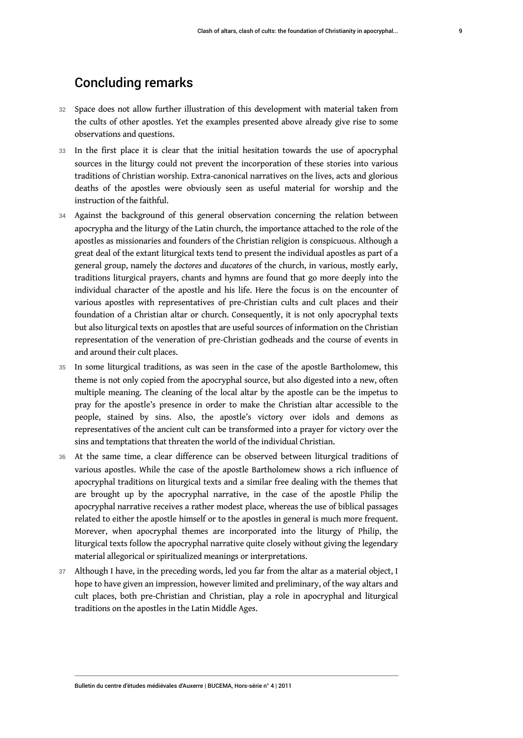### Concluding remarks

- 32 Space does not allow further illustration of this development with material taken from the cults of other apostles. Yet the examples presented above already give rise to some observations and questions.
- 33 In the first place it is clear that the initial hesitation towards the use of apocryphal sources in the liturgy could not prevent the incorporation of these stories into various traditions of Christian worship. Extra-canonical narratives on the lives, acts and glorious deaths of the apostles were obviously seen as useful material for worship and the instruction of the faithful.
- 34 Against the background of this general observation concerning the relation between apocrypha and the liturgy of the Latin church, the importance attached to the role of the apostles as missionaries and founders of the Christian religion is conspicuous. Although a great deal of the extant liturgical texts tend to present the individual apostles as part of a general group, namely the *doctores* and *ducatores* of the church, in various, mostly early, traditions liturgical prayers, chants and hymns are found that go more deeply into the individual character of the apostle and his life. Here the focus is on the encounter of various apostles with representatives of pre-Christian cults and cult places and their foundation of a Christian altar or church. Consequently, it is not only apocryphal texts but also liturgical texts on apostles that are useful sources of information on the Christian representation of the veneration of pre-Christian godheads and the course of events in and around their cult places.
- 35 In some liturgical traditions, as was seen in the case of the apostle Bartholomew, this theme is not only copied from the apocryphal source, but also digested into a new, often multiple meaning. The cleaning of the local altar by the apostle can be the impetus to pray for the apostle's presence in order to make the Christian altar accessible to the people, stained by sins. Also, the apostle's victory over idols and demons as representatives of the ancient cult can be transformed into a prayer for victory over the sins and temptations that threaten the world of the individual Christian.
- 36 At the same time, a clear difference can be observed between liturgical traditions of various apostles. While the case of the apostle Bartholomew shows a rich influence of apocryphal traditions on liturgical texts and a similar free dealing with the themes that are brought up by the apocryphal narrative, in the case of the apostle Philip the apocryphal narrative receives a rather modest place, whereas the use of biblical passages related to either the apostle himself or to the apostles in general is much more frequent. Morever, when apocryphal themes are incorporated into the liturgy of Philip, the liturgical texts follow the apocryphal narrative quite closely without giving the legendary material allegorical or spiritualized meanings or interpretations.
- 37 Although I have, in the preceding words, led you far from the altar as a material object, I hope to have given an impression, however limited and preliminary, of the way altars and cult places, both pre-Christian and Christian, play a role in apocryphal and liturgical traditions on the apostles in the Latin Middle Ages.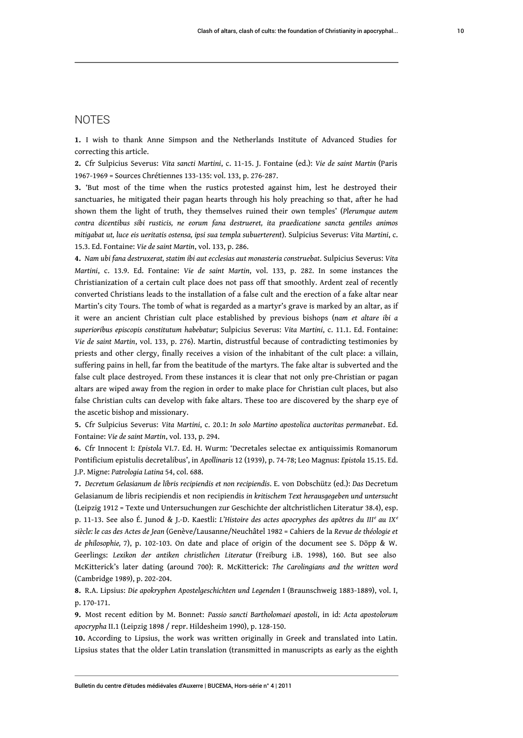### **NOTES**

<span id="page-10-0"></span>**[1.](#page-1-0)** I wish to thank Anne Simpson and the Netherlands Institute of Advanced Studies for correcting this article.

<span id="page-10-1"></span>**[2.](#page-1-1)** Cfr Sulpicius Severus: *Vita sancti Martini*, c. 11-15. J. Fontaine (ed.): *Vie de saint Martin* (Paris 1967-1969 = Sources Chrétiennes 133-135: vol. 133, p. 276-287.

<span id="page-10-2"></span>**[3.](#page-1-2)** 'But most of the time when the rustics protested against him, lest he destroyed their sanctuaries, he mitigated their pagan hearts through his holy preaching so that, after he had shown them the light of truth, they themselves ruined their own temples' (*Plerumque autem contra dicentibus sibi rusticis, ne eorum fana destrueret, ita praedicatione sancta gentiles animos mitigabat ut, luce eis ueritatis ostensa, ipsi sua templa subuerterent*). Sulpicius Severus: *Vita Martini*, c. 15.3. Ed. Fontaine: *Vie de saint Martin*, vol. 133, p. 286.

<span id="page-10-3"></span>**[4.](#page-1-3)** *Nam ubi fana destruxerat, statim ibi aut ecclesias aut monasteria construebat*. Sulpicius Severus: *Vita Martini*, c. 13.9. Ed. Fontaine: *Vie de saint Martin*, vol. 133, p. 282. In some instances the Christianization of a certain cult place does not pass off that smoothly. Ardent zeal of recently converted Christians leads to the installation of a false cult and the erection of a fake altar near Martin's city Tours. The tomb of what is regarded as a martyr's grave is marked by an altar, as if it were an ancient Christian cult place established by previous bishops (*nam et altare ibi a superioribus episcopis constitutum habebatur*; Sulpicius Severus: *Vita Martini*, c. 11.1. Ed. Fontaine: *Vie de saint Martin*, vol. 133, p. 276). Martin, distrustful because of contradicting testimonies by priests and other clergy, finally receives a vision of the inhabitant of the cult place: a villain, suffering pains in hell, far from the beatitude of the martyrs. The fake altar is subverted and the false cult place destroyed. From these instances it is clear that not only pre-Christian or pagan altars are wiped away from the region in order to make place for Christian cult places, but also false Christian cults can develop with fake altars. These too are discovered by the sharp eye of the ascetic bishop and missionary.

<span id="page-10-4"></span>**[5.](#page-2-0)** Cfr Sulpicius Severus: *Vita Martini*, c. 20.1: *In solo Martino apostolica auctoritas permanebat*. Ed. Fontaine: *Vie de saint Martin*, vol. 133, p. 294.

<span id="page-10-5"></span>**[6.](#page-2-1)** Cfr Innocent I: *Epistola* VI.7. Ed. H. Wurm: 'Decretales selectae ex antiquissimis Romanorum Pontificium epistulis decretalibus', in *Apollinaris* 12 (1939), p. 74-78; Leo Magnus: *Epistola* 15.15. Ed. J.P. Migne: *Patrologia Latina* 54, col. 688.

<span id="page-10-6"></span>**[7.](#page-2-2)** *Decretum Gelasianum de libris recipiendis et non recipiendis*. E. von Dobschütz (ed.): *Das* Decretum Gelasianum de libris recipiendis et non recipiendis *in kritischem Text herausgegeben und untersucht* (Leipzig 1912 = Texte und Untersuchungen zur Geschichte der altchristlichen Literatur 38.4), esp. p. 11-13. See also É. Junod & J.-D. Kaestli: *L'Histoire des actes apocryphes des apôtres du III<sup>e</sup> au IX<sup>e</sup> siècle: le cas des Actes de Jean* (Genève/Lausanne/Neuchâtel 1982 = Cahiers de la *Revue de théologie et de philosophie,* 7), p. 102-103. On date and place of origin of the document see S. Döpp & W. Geerlings: *Lexikon der antiken christlichen Literatur* (Freiburg i.B. 1998), 160. But see also McKitterick's later dating (around 700): R. McKitterick: *The Carolingians and the written word* (Cambridge 1989), p. 202-204.

<span id="page-10-7"></span>**[8.](#page-2-3)** R.A. Lipsius: *Die apokryphen Apostelgeschichten und Legenden* I (Braunschweig 1883-1889), vol. I, p. 170-171.

<span id="page-10-8"></span>**[9.](#page-3-0)** Most recent edition by M. Bonnet: *Passio sancti Bartholomaei apostoli*, in id: *Acta apostolorum apocrypha* II.1 (Leipzig 1898 / repr. Hildesheim 1990), p. 128-150.

<span id="page-10-9"></span>**[10.](#page-3-1)** According to Lipsius, the work was written originally in Greek and translated into Latin. Lipsius states that the older Latin translation (transmitted in manuscripts as early as the eighth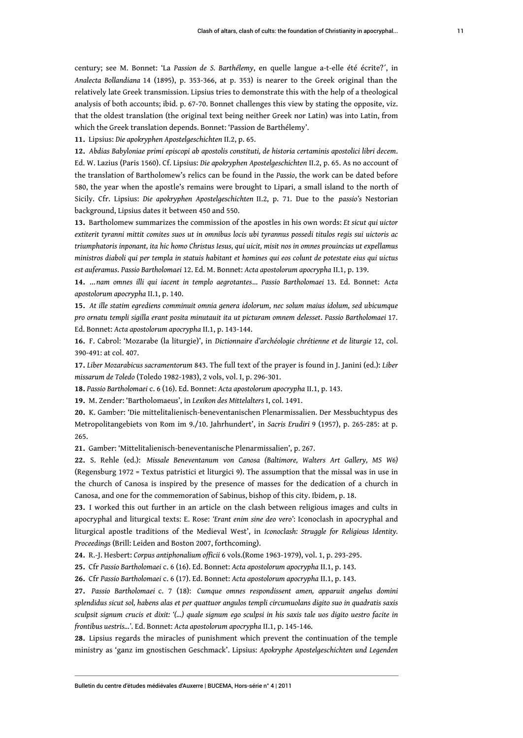century; see M. Bonnet: 'La *Passion de S. Barthélemy*, en quelle langue a-t-elle été écrite?´, in *Analecta Bollandiana* 14 (1895), p. 353-366, at p. 353) is nearer to the Greek original than the relatively late Greek transmission. Lipsius tries to demonstrate this with the help of a theological analysis of both accounts; ibid. p. 67-70. Bonnet challenges this view by stating the opposite, viz. that the oldest translation (the original text being neither Greek nor Latin) was into Latin, from which the Greek translation depends. Bonnet: 'Passion de Barthélemy'.

<span id="page-11-0"></span>**[11.](#page-3-2)** Lipsius: *Die apokryphen Apostelgeschichten* II.2, p. 65.

<span id="page-11-1"></span>**[12.](#page-3-3)** *Abdias Babyloniae primi episcopi ab apostolis constituti, de historia certaminis apostolici libri decem*. Ed. W. Lazius (Paris 1560). Cf. Lipsius: *Die apokryphen Apostelgeschichten* II.2, p. 65. As no account of the translation of Bartholomew's relics can be found in the *Passio*, the work can be dated before 580, the year when the apostle's remains were brought to Lipari, a small island to the north of Sicily. Cfr. Lipsius: *Die apokryphen Apostelgeschichten* II.2, p. 71. Due to the *passio's* Nestorian background, Lipsius dates it between 450 and 550.

<span id="page-11-2"></span>**[13.](#page-3-4)** Bartholomew summarizes the commission of the apostles in his own words: *Et sicut qui uictor extiterit tyranni mittit comites suos ut in omnibus locis ubi tyrannus possedi titulos regis sui uictoris ac triumphatoris inponant, ita hic homo Christus Iesus, qui uicit, misit nos in omnes prouincias ut expellamus ministros diaboli qui per templa in statuis habitant et homines qui eos colunt de potestate eius qui uictus est auferamus*. *Passio Bartholomaei* 12. Ed. M. Bonnet: *Acta apostolorum apocrypha* II.1, p. 139.

<span id="page-11-3"></span>**[14.](#page-3-5)** …*nam omnes illi qui iacent in templo aegrotantes*… *Passio Bartholomaei* 13. Ed. Bonnet: *Acta apostolorum apocrypha* II.1, p. 140.

<span id="page-11-4"></span>**[15.](#page-3-6)** *At ille statim egrediens comminuit omnia genera idolorum, nec solum maius idolum, sed ubicumque pro ornatu templi sigilla erant posita minutauit ita ut picturam omnem delesset*. *Passio Bartholomaei* 17. Ed. Bonnet: *Acta apostolorum apocrypha* II.1, p. 143-144.

<span id="page-11-5"></span>**[16.](#page-4-0)** F. Cabrol: 'Mozarabe (la liturgie)', in *Dictionnaire d'archéologie chrétienne et de liturgie* 12, col. 390-491: at col. 407.

<span id="page-11-6"></span>**[17.](#page-4-1)** *Liber Mozarabicus sacramentorum* 843. The full text of the prayer is found in J. Janini (ed.): *Liber missarum de Toledo* (Toledo 1982-1983), 2 vols, vol. I, p. 296-301.

<span id="page-11-7"></span>**[18.](#page-5-0)** *Passio Bartholomaei* c. 6 (16). Ed. Bonnet: *Acta apostolorum apocrypha* II.1, p. 143.

<span id="page-11-8"></span>**[19.](#page-5-1)** M. Zender: 'Bartholomaeus', in *Lexikon des Mittelalters* I, col. 1491.

<span id="page-11-9"></span>**[20.](#page-5-2)** K. Gamber: 'Die mittelitalienisch-beneventanischen Plenarmissalien. Der Messbuchtypus des Metropolitangebiets von Rom im 9./10. Jahrhundert', in *Sacris Erudiri* 9 (1957), p. 265-285: at p. 265.

<span id="page-11-10"></span>**[21.](#page-5-3)** Gamber: 'Mittelitalienisch-beneventanische Plenarmissalien', p. 267.

<span id="page-11-11"></span>**[22.](#page-5-4)** S. Rehle (ed.): *Missale Beneventanum von Canosa (Baltimore, Walters Art Gallery, MS W6)* (Regensburg 1972 = Textus patristici et liturgici 9). The assumption that the missal was in use in the church of Canosa is inspired by the presence of masses for the dedication of a church in Canosa, and one for the commemoration of Sabinus, bishop of this city. Ibidem, p. 18.

<span id="page-11-12"></span>**[23.](#page-6-0)** I worked this out further in an article on the clash between religious images and cults in apocryphal and liturgical texts: E. Rose: *'Erant enim sine deo vero'*: Iconoclash in apocryphal and liturgical apostle traditions of the Medieval West', in *Iconoclash: Struggle for Religious Identity. Proceedings* (Brill: Leiden and Boston 2007, forthcoming).

<span id="page-11-13"></span>**[24.](#page-6-1)** R.-J. Hesbert: *Corpus antiphonalium officii* 6 vols.(Rome 1963-1979), vol. 1, p. 293-295.

<span id="page-11-14"></span>**[25.](#page-6-2)** Cfr *Passio Bartholomaei* c. 6 (16). Ed. Bonnet: *Acta apostolorum apocrypha* II.1, p. 143.

<span id="page-11-15"></span>**[26.](#page-6-3)** Cfr *Passio Bartholomaei* c. 6 (17). Ed. Bonnet: *Acta apostolorum apocrypha* II.1, p. 143.

<span id="page-11-16"></span>**[27.](#page-7-0)** *Passio Bartholomaei* c. 7 (18): *Cumque omnes respondissent amen, apparuit angelus domini splendidus sicut sol, habens alas et per quattuor angulos templi circumuolans digito suo in quadratis saxis sculpsit signum crucis et dixit: '(…) quale signum ego sculpsi in his saxis tale uos digito uestro facite in frontibus uestris...'*. Ed. Bonnet: *Acta apostolorum apocrypha* II.1, p. 145-146.

<span id="page-11-17"></span>**[28.](#page-7-1)** Lipsius regards the miracles of punishment which prevent the continuation of the temple ministry as 'ganz im gnostischen Geschmack'. Lipsius: *Apokryphe Apostelgeschichten und Legenden*